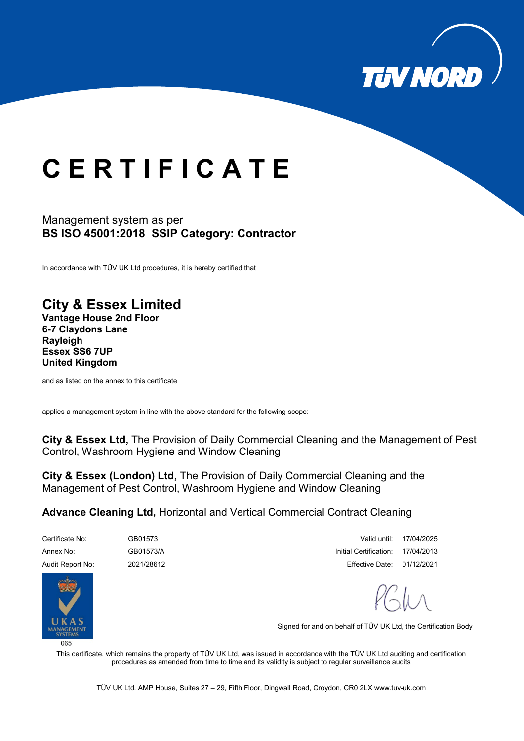

## **C E R T I F I C A T E**

## Management system as per **BS ISO 45001:2018 SSIP Category: Contractor**

In accordance with TÜV UK Ltd procedures, it is hereby certified that

## **City & Essex Limited**

**Vantage House 2nd Floor 6-7 Claydons Lane Rayleigh Essex SS6 7UP United Kingdom**

and as listed on the annex to this certificate

applies a management system in line with the above standard for the following scope:

**City & Essex Ltd,** The Provision of Daily Commercial Cleaning and the Management of Pest Control, Washroom Hygiene and Window Cleaning

**City & Essex (London) Ltd,** The Provision of Daily Commercial Cleaning and the Management of Pest Control, Washroom Hygiene and Window Cleaning

**Advance Cleaning Ltd,** Horizontal and Vertical Commercial Contract Cleaning



Certificate No: GB01573 Valid until: 17/04/2025 Annex No: GB01573/A GB01573/A CHO CHO CHOREAGH Certification: 17/04/2013 Audit Report No: 2021/28612 Effective Date: 01/12/2021

Signed for and on behalf of TÜV UK Ltd, the Certification Body

This certificate, which remains the property of TÜV UK Ltd, was issued in accordance with the TÜV UK Ltd auditing and certification procedures as amended from time to time and its validity is subject to regular surveillance audits

TÜV UK Ltd. AMP House, Suites 27 – 29, Fifth Floor, Dingwall Road, Croydon, CR0 2L[X www.tuv-uk.com](http://www.tuv-uk.com/)